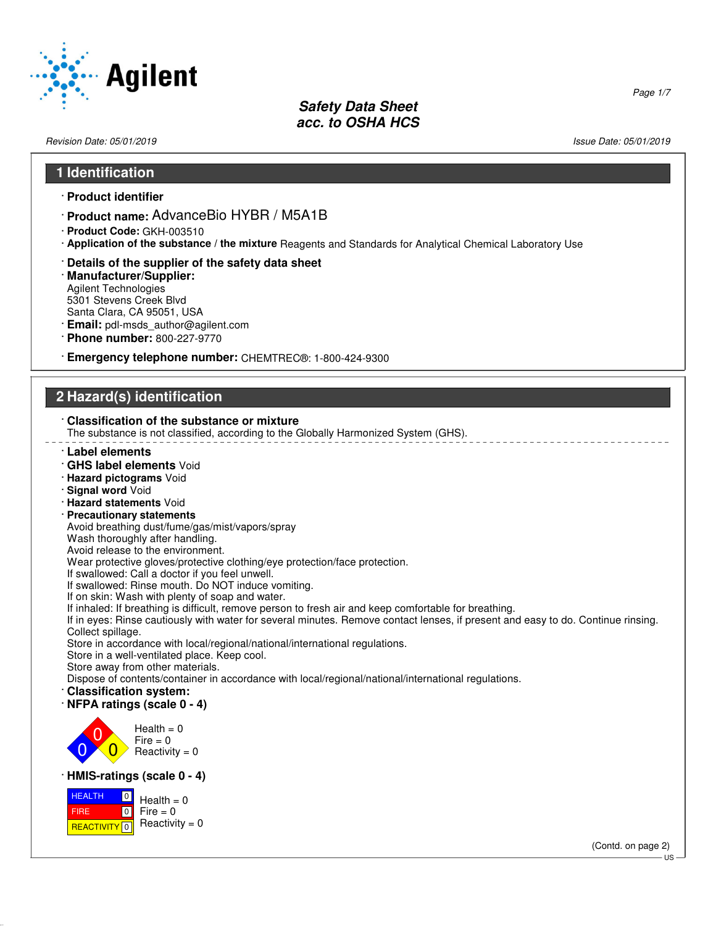

Revision Date: 05/01/2019 Issue Date: 05/01/2019

Page 1/7

#### **1 Identification**

- · **Product identifier**
- · **Product name:** AdvanceBio HYBR / M5A1B
- · **Product Code:** GKH-003510
- · **Application of the substance / the mixture** Reagents and Standards for Analytical Chemical Laboratory Use
- · **Details of the supplier of the safety data sheet**
- · **Manufacturer/Supplier:** Agilent Technologies 5301 Stevens Creek Blvd Santa Clara, CA 95051, USA
- · **Email:** pdl-msds\_author@agilent.com
- · **Phone number:** 800-227-9770
- · **Emergency telephone number:** CHEMTREC®: 1-800-424-9300

## **2 Hazard(s) identification**

#### · **Classification of the substance or mixture**

The substance is not classified, according to the Globally Harmonized System (GHS).

- · **Label elements**
- · **GHS label elements** Void
- · **Hazard pictograms** Void
- · **Signal word** Void
- · **Hazard statements** Void
- · **Precautionary statements**
- Avoid breathing dust/fume/gas/mist/vapors/spray
- Wash thoroughly after handling.
- Avoid release to the environment.

Wear protective gloves/protective clothing/eye protection/face protection.

If swallowed: Call a doctor if you feel unwell.

If swallowed: Rinse mouth. Do NOT induce vomiting.

If on skin: Wash with plenty of soap and water.

If inhaled: If breathing is difficult, remove person to fresh air and keep comfortable for breathing.

If in eyes: Rinse cautiously with water for several minutes. Remove contact lenses, if present and easy to do. Continue rinsing. Collect spillage.

Store in accordance with local/regional/national/international regulations.

Store in a well-ventilated place. Keep cool.

Store away from other materials.

Dispose of contents/container in accordance with local/regional/national/international regulations.

- · **Classification system:**
- · **NFPA ratings (scale 0 4)**



#### · **HMIS-ratings (scale 0 - 4)**

 HEALTH FIRE <mark>| REACTIVITY</mark> | 0  $\boxed{0}$  $\boxed{0}$  $Health = 0$  $Fire = 0$ Reactivity  $= 0$ 

(Contd. on page 2)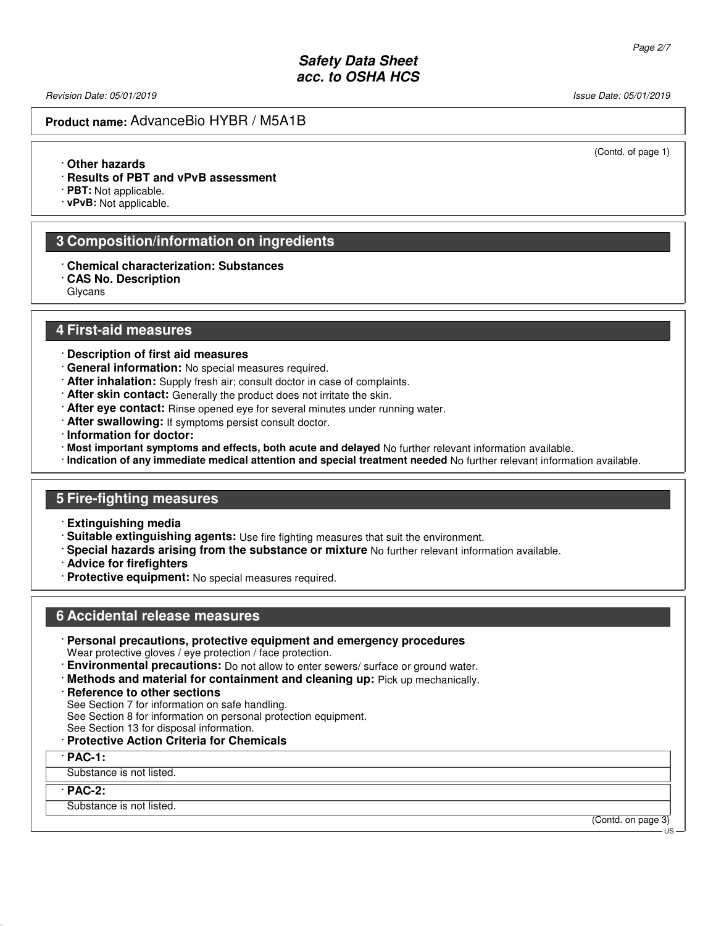Revision Date: 05/01/2019 **Issue Date: 05/01/2019** Issue Date: 05/01/2019

(Contd. of page 1)

### **Product name:** AdvanceBio HYBR / M5A1B

· **Other hazards**

· **Results of PBT and vPvB assessment**

· **PBT:** Not applicable.

· **vPvB:** Not applicable.

#### **3 Composition/information on ingredients**

· **Chemical characterization: Substances**

· **CAS No. Description**

Glycans

#### **4 First-aid measures**

- · **Description of first aid measures**
- · **General information:** No special measures required.
- · **After inhalation:** Supply fresh air; consult doctor in case of complaints.
- · **After skin contact:** Generally the product does not irritate the skin.
- · **After eye contact:** Rinse opened eye for several minutes under running water.
- · **After swallowing:** If symptoms persist consult doctor.
- · **Information for doctor:**
- · **Most important symptoms and effects, both acute and delayed** No further relevant information available.
- · **Indication of any immediate medical attention and special treatment needed** No further relevant information available.

#### **5 Fire-fighting measures**

- · **Extinguishing media**
- · **Suitable extinguishing agents:** Use fire fighting measures that suit the environment.
- · **Special hazards arising from the substance or mixture** No further relevant information available.
- · **Advice for firefighters**
- · **Protective equipment:** No special measures required.

#### **6 Accidental release measures**

· **Personal precautions, protective equipment and emergency procedures**

Wear protective gloves / eye protection / face protection.

- · **Environmental precautions:** Do not allow to enter sewers/ surface or ground water.
- · **Methods and material for containment and cleaning up:** Pick up mechanically.
- · **Reference to other sections**

See Section 7 for information on safe handling.

See Section 8 for information on personal protection equipment.

See Section 13 for disposal information.

#### · **Protective Action Criteria for Chemicals**

#### · **PAC-1:**

Substance is not listed.

#### · **PAC-2:**

Substance is not listed.

(Contd. on page 3) US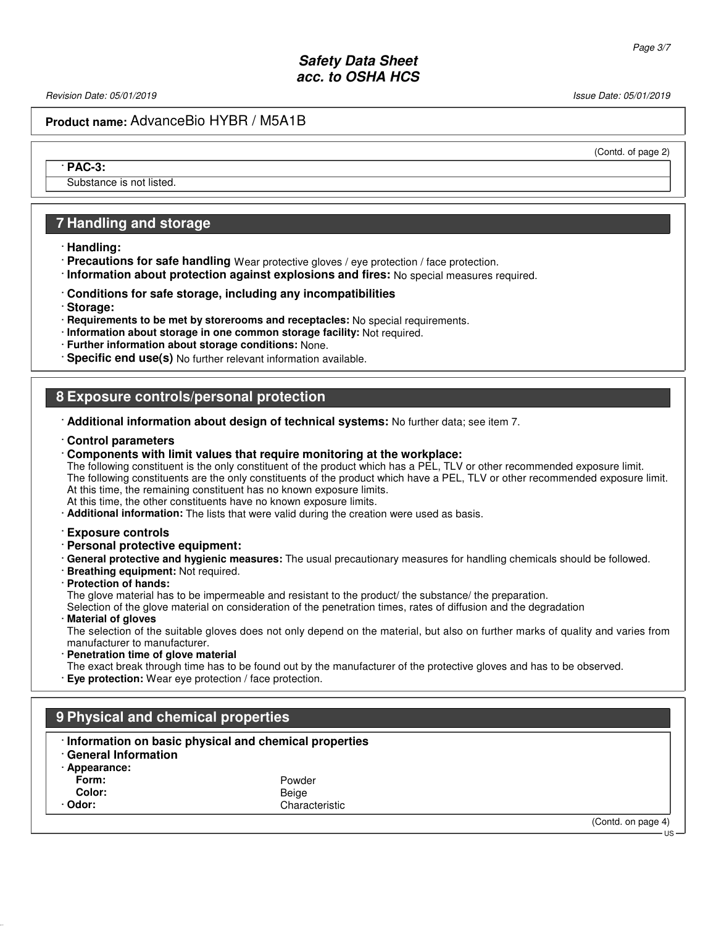Revision Date: 05/01/2019 **Issue Date: 05/01/2019** Issue Date: 05/01/2019

(Contd. of page 2)

## **Product name:** AdvanceBio HYBR / M5A1B

· **PAC-3:**

Substance is not listed.

#### **7 Handling and storage**

· **Handling:**

- · **Precautions for safe handling** Wear protective gloves / eye protection / face protection.
- · **Information about protection against explosions and fires:** No special measures required.
- · **Conditions for safe storage, including any incompatibilities**
- · **Storage:**
- · **Requirements to be met by storerooms and receptacles:** No special requirements.
- · **Information about storage in one common storage facility:** Not required.
- · **Further information about storage conditions:** None.
- · **Specific end use(s)** No further relevant information available.

#### **8 Exposure controls/personal protection**

- · **Additional information about design of technical systems:** No further data; see item 7.
- · **Control parameters**
- · **Components with limit values that require monitoring at the workplace:**

The following constituent is the only constituent of the product which has a PEL, TLV or other recommended exposure limit. The following constituents are the only constituents of the product which have a PEL, TLV or other recommended exposure limit. At this time, the remaining constituent has no known exposure limits.

At this time, the other constituents have no known exposure limits.

- · **Additional information:** The lists that were valid during the creation were used as basis.
- · **Exposure controls**
- · **Personal protective equipment:**
- · **General protective and hygienic measures:** The usual precautionary measures for handling chemicals should be followed.
- · **Breathing equipment:** Not required.
- · **Protection of hands:** The glove material has to be impermeable and resistant to the product/ the substance/ the preparation.
	- Selection of the glove material on consideration of the penetration times, rates of diffusion and the degradation
- · **Material of gloves**

The selection of the suitable gloves does not only depend on the material, but also on further marks of quality and varies from manufacturer to manufacturer.

**Penetration time of glove material** The exact break through time has to be found out by the manufacturer of the protective gloves and has to be observed. · **Eye protection:** Wear eye protection / face protection.

| 9 Physical and chemical properties |                                                         |                    |
|------------------------------------|---------------------------------------------------------|--------------------|
| <b>General Information</b>         | · Information on basic physical and chemical properties |                    |
| · Appearance:                      |                                                         |                    |
| Form:                              | Powder                                                  |                    |
| Color:                             | Beige                                                   |                    |
| · Odor:                            | Characteristic                                          |                    |
|                                    |                                                         | (Contd. on page 4) |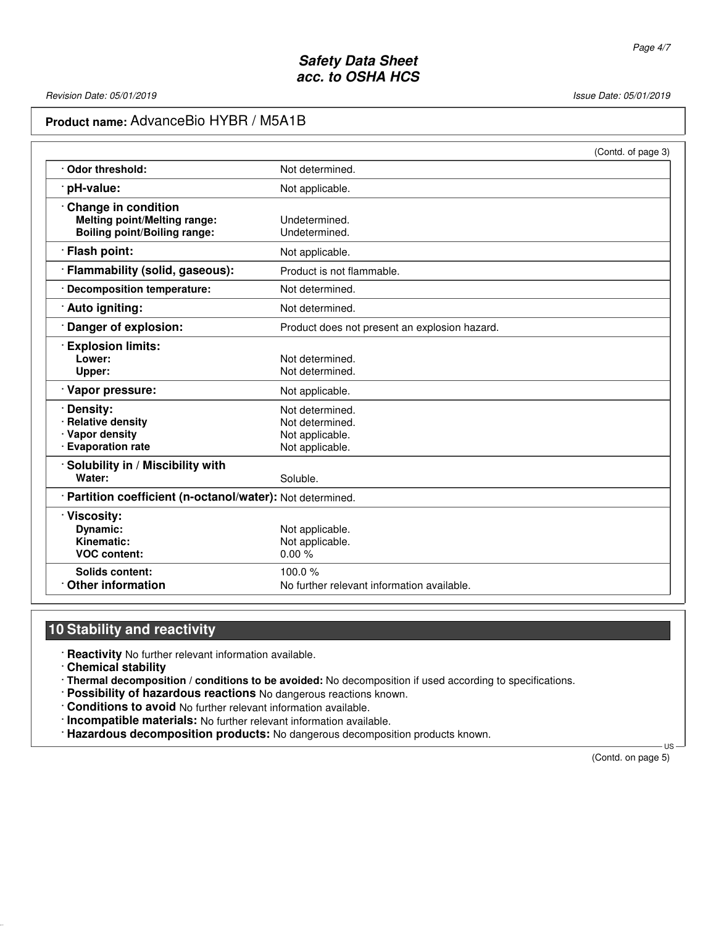# **Product name:** AdvanceBio HYBR / M5A1B

|                                                            |                                               | (Contd. of page 3) |
|------------------------------------------------------------|-----------------------------------------------|--------------------|
| Odor threshold:                                            | Not determined.                               |                    |
| pH-value:                                                  | Not applicable.                               |                    |
| Change in condition                                        |                                               |                    |
| <b>Melting point/Melting range:</b>                        | Undetermined.                                 |                    |
| <b>Boiling point/Boiling range:</b>                        | Undetermined.                                 |                    |
| Flash point:                                               | Not applicable.                               |                    |
| Flammability (solid, gaseous):                             | Product is not flammable.                     |                    |
| · Decomposition temperature:                               | Not determined.                               |                    |
| · Auto igniting:                                           | Not determined.                               |                    |
| Danger of explosion:                                       | Product does not present an explosion hazard. |                    |
| <b>Explosion limits:</b>                                   |                                               |                    |
| Lower:                                                     | Not determined.                               |                    |
| Upper:                                                     | Not determined.                               |                    |
| Vapor pressure:                                            | Not applicable.                               |                    |
| Density:                                                   | Not determined.                               |                    |
| <b>Relative density</b>                                    | Not determined.                               |                    |
| · Vapor density                                            | Not applicable.                               |                    |
| · Evaporation rate                                         | Not applicable.                               |                    |
| Solubility in / Miscibility with                           |                                               |                    |
| Water:                                                     | Soluble.                                      |                    |
| · Partition coefficient (n-octanol/water): Not determined. |                                               |                    |
| · Viscosity:                                               |                                               |                    |
| Dynamic:                                                   | Not applicable.                               |                    |
| Kinematic:                                                 | Not applicable.                               |                    |
| <b>VOC content:</b>                                        | 0.00%                                         |                    |
| Solids content:                                            | 100.0 $%$                                     |                    |
| <b>Other information</b>                                   | No further relevant information available.    |                    |

# **10 Stability and reactivity**

· **Reactivity** No further relevant information available.

· **Chemical stability**

· **Thermal decomposition / conditions to be avoided:** No decomposition if used according to specifications.

- · **Possibility of hazardous reactions** No dangerous reactions known.
- · **Conditions to avoid** No further relevant information available.
- · **Incompatible materials:** No further relevant information available.
- · **Hazardous decomposition products:** No dangerous decomposition products known.

(Contd. on page 5)

 $\overline{11}$ S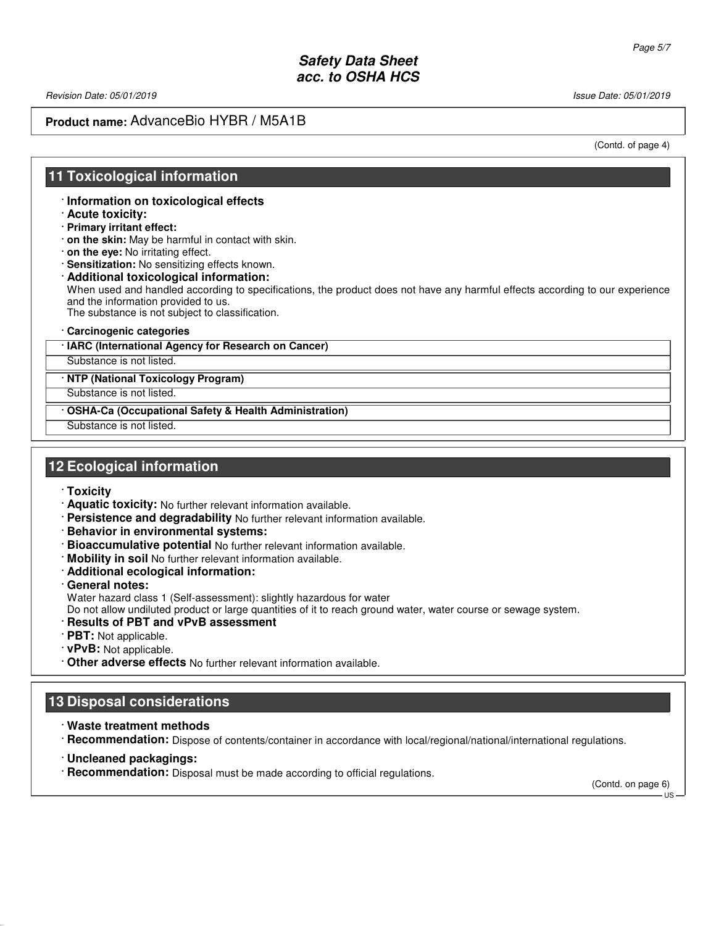Revision Date: 05/01/2019 Issue Date: 05/01/2019

# **Product name:** AdvanceBio HYBR / M5A1B

(Contd. of page 4)

## **11 Toxicological information**

· **Information on toxicological effects**

- · **Acute toxicity:**
- · **Primary irritant effect:**
- · **on the skin:** May be harmful in contact with skin.
- · **on the eye:** No irritating effect.
- · **Sensitization:** No sensitizing effects known.
- · **Additional toxicological information:** When used and handled according to specifications, the product does not have any harmful effects according to our experience and the information provided to us. The substance is not subject to classification.
- · **Carcinogenic categories**

#### · **IARC (International Agency for Research on Cancer)**

Substance is not listed.

· **NTP (National Toxicology Program)**

Substance is not listed.

· **OSHA-Ca (Occupational Safety & Health Administration)**

Substance is not listed.

### **12 Ecological information**

- · **Toxicity**
- · **Aquatic toxicity:** No further relevant information available.
- · **Persistence and degradability** No further relevant information available.
- · **Behavior in environmental systems:**
- · **Bioaccumulative potential** No further relevant information available.
- · **Mobility in soil** No further relevant information available.
- · **Additional ecological information:**
- · **General notes:**

Water hazard class 1 (Self-assessment): slightly hazardous for water

Do not allow undiluted product or large quantities of it to reach ground water, water course or sewage system.

- · **Results of PBT and vPvB assessment**
- · **PBT:** Not applicable.
- · **vPvB:** Not applicable.
- · **Other adverse effects** No further relevant information available.

## **13 Disposal considerations**

· **Waste treatment methods**

· **Recommendation:** Dispose of contents/container in accordance with local/regional/national/international regulations.

- · **Uncleaned packagings:**
- · **Recommendation:** Disposal must be made according to official regulations.

(Contd. on page 6)

 $-11S$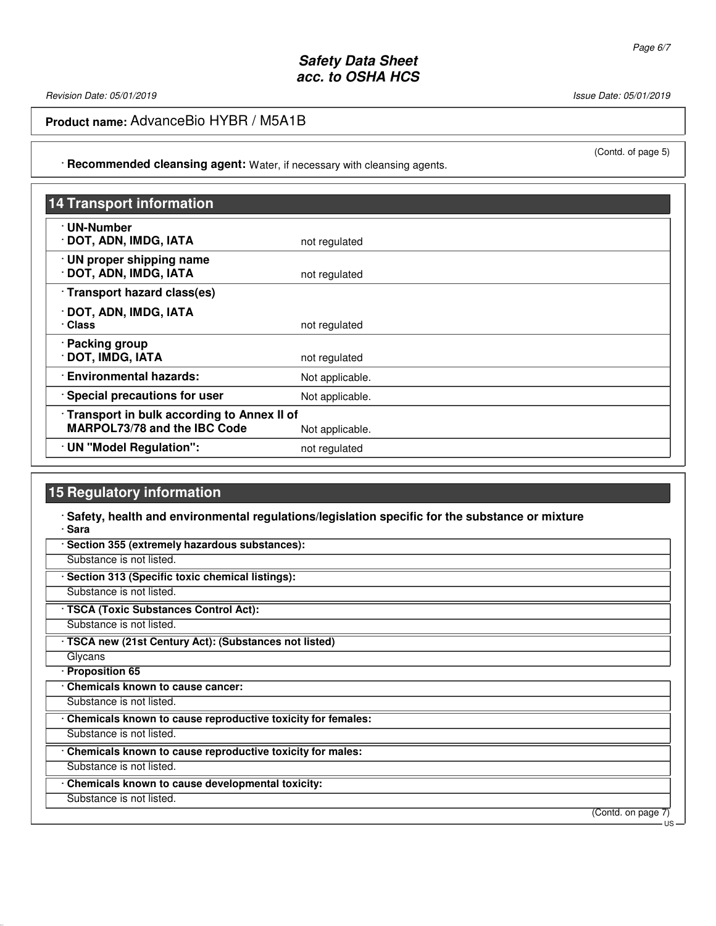Revision Date: 05/01/2019 Issue Date: 05/01/2019

**Product name:** AdvanceBio HYBR / M5A1B

· **Recommended cleansing agent:** Water, if necessary with cleansing agents.

| <b>14 Transport information</b>                                                   |                 |
|-----------------------------------------------------------------------------------|-----------------|
| · UN-Number<br>DOT, ADN, IMDG, IATA                                               | not regulated   |
| · UN proper shipping name<br>DOT, ADN, IMDG, IATA                                 | not regulated   |
| · Transport hazard class(es)                                                      |                 |
| · DOT, ADN, IMDG, IATA<br>· Class                                                 | not regulated   |
| · Packing group<br>DOT, IMDG, IATA                                                | not regulated   |
| · Environmental hazards:                                                          | Not applicable. |
| Special precautions for user                                                      | Not applicable. |
| Transport in bulk according to Annex II of<br><b>MARPOL73/78 and the IBC Code</b> | Not applicable. |
| · UN "Model Regulation":                                                          | not regulated   |

# **15 Regulatory information**

#### · **Safety, health and environmental regulations/legislation specific for the substance or mixture** · **Sara**

| Substance is not listed.<br>Section 313 (Specific toxic chemical listings):<br>Substance is not listed.<br>· TSCA (Toxic Substances Control Act):<br>Substance is not listed.<br>· TSCA new (21st Century Act): (Substances not listed)<br>Glycans<br>· Proposition 65<br>Chemicals known to cause cancer:<br>Substance is not listed.<br>Chemicals known to cause reproductive toxicity for females:<br>Substance is not listed.<br>Chemicals known to cause reproductive toxicity for males:<br>Substance is not listed.<br>Chemicals known to cause developmental toxicity:<br>Substance is not listed.<br>(Contd. on page 7) | Section 355 (extremely hazardous substances): |      |
|----------------------------------------------------------------------------------------------------------------------------------------------------------------------------------------------------------------------------------------------------------------------------------------------------------------------------------------------------------------------------------------------------------------------------------------------------------------------------------------------------------------------------------------------------------------------------------------------------------------------------------|-----------------------------------------------|------|
|                                                                                                                                                                                                                                                                                                                                                                                                                                                                                                                                                                                                                                  |                                               |      |
|                                                                                                                                                                                                                                                                                                                                                                                                                                                                                                                                                                                                                                  |                                               |      |
|                                                                                                                                                                                                                                                                                                                                                                                                                                                                                                                                                                                                                                  |                                               |      |
|                                                                                                                                                                                                                                                                                                                                                                                                                                                                                                                                                                                                                                  |                                               |      |
|                                                                                                                                                                                                                                                                                                                                                                                                                                                                                                                                                                                                                                  |                                               |      |
|                                                                                                                                                                                                                                                                                                                                                                                                                                                                                                                                                                                                                                  |                                               |      |
|                                                                                                                                                                                                                                                                                                                                                                                                                                                                                                                                                                                                                                  |                                               |      |
|                                                                                                                                                                                                                                                                                                                                                                                                                                                                                                                                                                                                                                  |                                               |      |
|                                                                                                                                                                                                                                                                                                                                                                                                                                                                                                                                                                                                                                  |                                               |      |
|                                                                                                                                                                                                                                                                                                                                                                                                                                                                                                                                                                                                                                  |                                               |      |
|                                                                                                                                                                                                                                                                                                                                                                                                                                                                                                                                                                                                                                  |                                               |      |
|                                                                                                                                                                                                                                                                                                                                                                                                                                                                                                                                                                                                                                  |                                               |      |
|                                                                                                                                                                                                                                                                                                                                                                                                                                                                                                                                                                                                                                  |                                               |      |
|                                                                                                                                                                                                                                                                                                                                                                                                                                                                                                                                                                                                                                  |                                               |      |
|                                                                                                                                                                                                                                                                                                                                                                                                                                                                                                                                                                                                                                  |                                               |      |
|                                                                                                                                                                                                                                                                                                                                                                                                                                                                                                                                                                                                                                  |                                               |      |
|                                                                                                                                                                                                                                                                                                                                                                                                                                                                                                                                                                                                                                  |                                               | – US |

(Contd. of page 5)